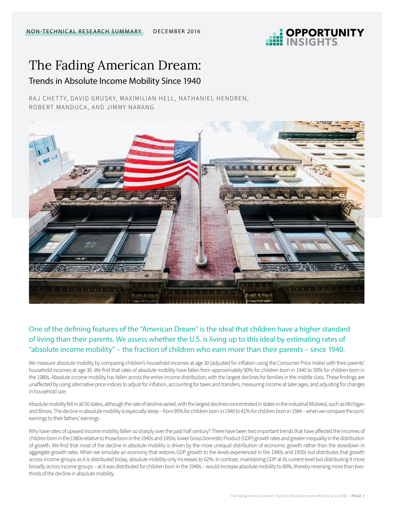

## The Fading American Dream:

## Trends in Absolute Income Mobility Since 1940

RAJ CHETTY, DAVID GRUSKY, MAXIMILIAN HELL, NATHANIEL HENDREN, ROBERT MANDUCA, AND JIMMY NARANG



## One of the defining features of the "American Dream" is the ideal that children have a higher standard of living than their parents. We assess whether the U.S. is living up to this ideal by estimating rates of "absolute income mobility" – the fraction of children who earn more than their parents – since 1940.

We measure absolute mobility by comparing children's household incomes at age 30 (adjusted for inflation using the Consumer Price Index) with their parents' household incomes at age 30. We find that rates of absolute mobility have fallen from approximately 90% for children born in 1940 to 50% for children born in the 1980s. Absolute income mobility has fallen across the entire income distribution, with the largest declines for families in the middle class. These findings are unaffected by using alternative price indices to adjust for inflation, accounting for taxes and transfers, measuring income at later ages, and adjusting for changes in household size.

Absolute mobility fell in all 50 states, although the rate of decline varied, with the largest declines concentrated in states in the industrial Midwest, such as Michigan and Illinois. The decline in absolute mobility is especially steep – from 95% for children born in 1940 to 41% for children born in 1984 – when we compare the sons' earnings to their fathers' earnings.

Why have rates of upward income mobility fallen so sharply over the past half century? There have been two important trends that have affected the incomes of children born in the 1980s relative to those born in the 1940s and 1950s: lower Gross Domestic Product (GDP) growth rates and greater inequality in the distribution of growth. We find that most of the decline in absolute mobility is driven by the more unequal distribution of economic growth rather than the slowdown in aggregate growth rates. When we simulate an economy that restores GDP growth to the levels experienced in the 1940s and 1950s but distributes that growth across income groups as it is distributed today, absolute mobility only increases to 62%. In contrast, maintaining GDP at its current level but distributing it more broadly across income groups – at it was distributed for children born in the 1940s – would increase absolute mobility to 80%, thereby reversing more than twothirds of the decline in absolute mobility.